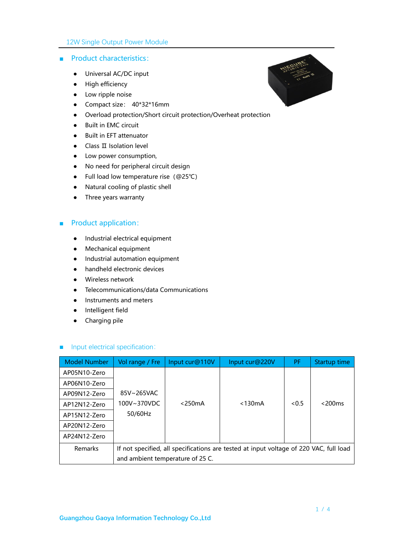#### ■ Product characteristics:

- Universal AC/DC input
- High efficiency
- Low ripple noise
- Compact size: 40\*32\*16mm
- Overload protection/Short circuit protection/Overheat protection
- Built in EMC circuit
- Built in EFT attenuator
- Class II Isolation level
- Low power consumption,
- No need for peripheral circuit design
- Full load low temperature rise(@25℃)
- Natural cooling of plastic shell
- Three years warranty

### ■ Product application:

- Industrial electrical equipment
- Mechanical equipment
- Industrial automation equipment
- handheld electronic devices
- Wireless network
- Telecommunications/data Communications
- Instruments and meters
- Intelligent field
- Charging pile

#### ■ Input electrical specification:

| <b>Model Number</b> | Vol range / Fre                                                                        | Input cur@110V | Input cur@220V | PF.  | Startup time |
|---------------------|----------------------------------------------------------------------------------------|----------------|----------------|------|--------------|
| AP05N10-Zero        |                                                                                        |                |                |      |              |
| AP06N10-Zero        |                                                                                        |                |                |      |              |
| AP09N12-Zero        | 85V~265VAC                                                                             |                |                |      |              |
| AP12N12-Zero        | 100V~370VDC                                                                            | $<$ 250 $mA$   | $<$ 130 $mA$   | <0.5 | $<$ 200 $ms$ |
| AP15N12-Zero        | 50/60Hz                                                                                |                |                |      |              |
| AP20N12-Zero        |                                                                                        |                |                |      |              |
| AP24N12-Zero        |                                                                                        |                |                |      |              |
| <b>Remarks</b>      | If not specified, all specifications are tested at input voltage of 220 VAC, full load |                |                |      |              |
|                     | and ambient temperature of 25 C.                                                       |                |                |      |              |

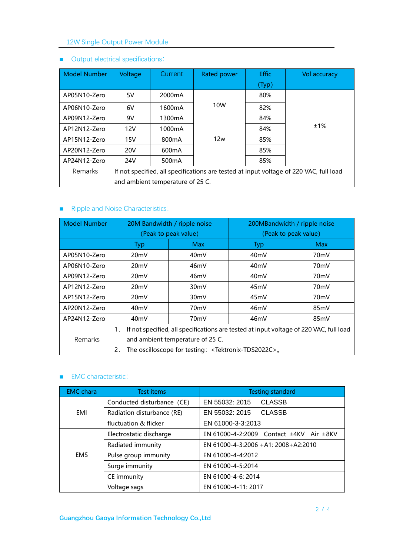# 12W Single Output Power Module

| <b>Model Number</b> | Voltage                                                                                | Current.            | <b>Rated power</b> | <b>Effic</b> | Vol accuracy |
|---------------------|----------------------------------------------------------------------------------------|---------------------|--------------------|--------------|--------------|
|                     |                                                                                        |                     |                    | (Typ)        |              |
| AP05N10-Zero        | 5V                                                                                     | 2000 <sub>m</sub> A |                    | 80%          |              |
| AP06N10-Zero        | 6V                                                                                     | 1600 <sub>m</sub> A | 10W                | 82%          |              |
| AP09N12-Zero        | 9V                                                                                     | 1300 <sub>m</sub> A |                    | 84%          |              |
| AP12N12-Zero        | 12V                                                                                    | 1000mA              |                    | 84%          | ±1%          |
| AP15N12-Zero        | 15V                                                                                    | 800 <sub>m</sub> A  | 12w<br>85%         |              |              |
| AP20N12-Zero        | 20V                                                                                    | 600 <sub>m</sub> A  |                    | 85%          |              |
| AP24N12-Zero        | 24V                                                                                    | 500 <sub>m</sub> A  |                    | 85%          |              |
| <b>Remarks</b>      | If not specified, all specifications are tested at input voltage of 220 VAC, full load |                     |                    |              |              |
|                     | and ambient temperature of 25 C.                                                       |                     |                    |              |              |

# ■ Output electrical specifications:

# ■ Ripple and Noise Characteristics:

| <b>Model Number</b> | 20M Bandwidth / ripple noise                                                                 |                   | 200MBandwidth / ripple noise |                   |  |
|---------------------|----------------------------------------------------------------------------------------------|-------------------|------------------------------|-------------------|--|
|                     | (Peak to peak value)                                                                         |                   | (Peak to peak value)         |                   |  |
|                     | <b>Typ</b>                                                                                   | <b>Max</b>        | <b>Typ</b>                   | <b>Max</b>        |  |
| AP05N10-Zero        | 20 <sub>m</sub> V                                                                            | 40mV              | 40 <sub>m</sub> V            | 70mV              |  |
| AP06N10-Zero        | 20 <sub>m</sub> V                                                                            | 46mV              | 40 <sub>m</sub> V            | 70mV              |  |
| AP09N12-Zero        | 20mV                                                                                         | 46mV              | 40 <sub>m</sub> V            | 70mV              |  |
| AP12N12-Zero        | 20 <sub>m</sub> V                                                                            | 30 <sub>m</sub> V | 45mV                         | 70 <sub>m</sub> V |  |
| AP15N12-Zero        | 20 <sub>m</sub> V                                                                            | 30 <sub>m</sub> V | 45mV                         | 70 <sub>m</sub> V |  |
| AP20N12-Zero        | 40 <sub>m</sub> V                                                                            | 70 <sub>m</sub> V | 46mV                         | 85mV              |  |
| AP24N12-Zero        | 40 <sub>mV</sub><br>46mV<br>70mV<br>85mV                                                     |                   |                              |                   |  |
|                     | If not specified, all specifications are tested at input voltage of 220 VAC, full load<br>1. |                   |                              |                   |  |
| <b>Remarks</b>      | and ambient temperature of 25 C.                                                             |                   |                              |                   |  |
|                     | The oscilloscope for testing: <tektronix-tds2022c>.<br/>2.</tektronix-tds2022c>              |                   |                              |                   |  |

#### ■ EMC characteristic:

| <b>EMC</b> chara | <b>Test items</b>          | <b>Testing standard</b>                           |  |  |
|------------------|----------------------------|---------------------------------------------------|--|--|
|                  | Conducted disturbance (CE) | <b>CLASSB</b><br>EN 55032: 2015                   |  |  |
| EMI              | Radiation disturbance (RE) | EN 55032: 2015<br><b>CLASSB</b>                   |  |  |
|                  | fluctuation & flicker      | EN 61000-3-3:2013                                 |  |  |
|                  | Electrostatic discharge    | EN 61000-4-2:2009 Contact $\pm$ 4KV Air $\pm$ 8KV |  |  |
|                  | Radiated immunity          | EN 61000-4-3:2006 +A1: 2008+A2:2010               |  |  |
| <b>EMS</b>       | Pulse group immunity       | EN 61000-4-4:2012                                 |  |  |
|                  | Surge immunity             | EN 61000-4-5:2014                                 |  |  |
| CE immunity      |                            | EN 61000-4-6: 2014                                |  |  |
| Voltage sags     |                            | EN 61000-4-11: 2017                               |  |  |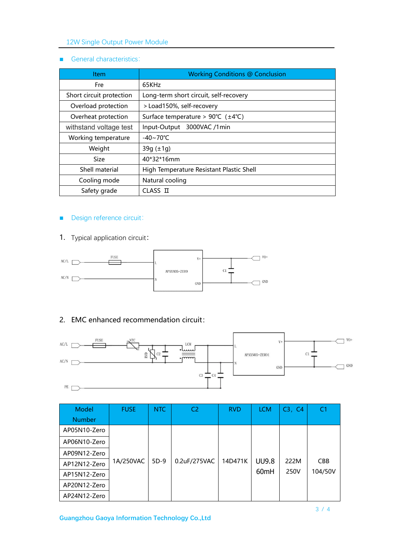### 12W Single Output Power Module

#### ■ General characteristics:

| <b>Item</b>              | <b>Working Conditions @ Conclusion</b>                   |  |  |
|--------------------------|----------------------------------------------------------|--|--|
| <b>Fre</b>               | 65KHz                                                    |  |  |
| Short circuit protection | Long-term short circuit, self-recovery                   |  |  |
| Overload protection      | > Load150%, self-recovery                                |  |  |
| Overheat protection      | Surface temperature > $90^{\circ}C$ ( $\pm 4^{\circ}C$ ) |  |  |
| withstand voltage test   | Input-Output 3000VAC /1min                               |  |  |
| Working temperature      | $-40 \sim 70^{\circ}$ C                                  |  |  |
| Weight                   | $39g (\pm 1g)$                                           |  |  |
| Size                     | 40*32*16mm                                               |  |  |
| Shell material           | High Temperature Resistant Plastic Shell                 |  |  |
| Cooling mode             | Natural cooling                                          |  |  |
| Safety grade             | CLASS II                                                 |  |  |

### ■ Design reference circuit:

1. Typical application circuit:



### 2. EMC enhanced recommendation circuit:



| Model         | <b>FUSE</b> | N <sub>TC</sub> | C2           | <b>RVD</b> | <b>LCM</b>       | C3, C4 | C <sub>1</sub> |
|---------------|-------------|-----------------|--------------|------------|------------------|--------|----------------|
| <b>Number</b> |             |                 |              |            |                  |        |                |
| AP05N10-Zero  |             |                 |              |            |                  |        |                |
| AP06N10-Zero  |             |                 |              |            |                  |        |                |
| AP09N12-Zero  |             |                 |              |            |                  |        |                |
| AP12N12-Zero  | 1A/250VAC   | $5D-9$          | 0.2uF/275VAC | 14D471K    | <b>UU9.8</b>     | 222M   | <b>CBB</b>     |
| AP15N12-Zero  |             |                 |              |            | 60 <sub>mH</sub> | 250V   | 104/50V        |
| AP20N12-Zero  |             |                 |              |            |                  |        |                |
| AP24N12-Zero  |             |                 |              |            |                  |        |                |